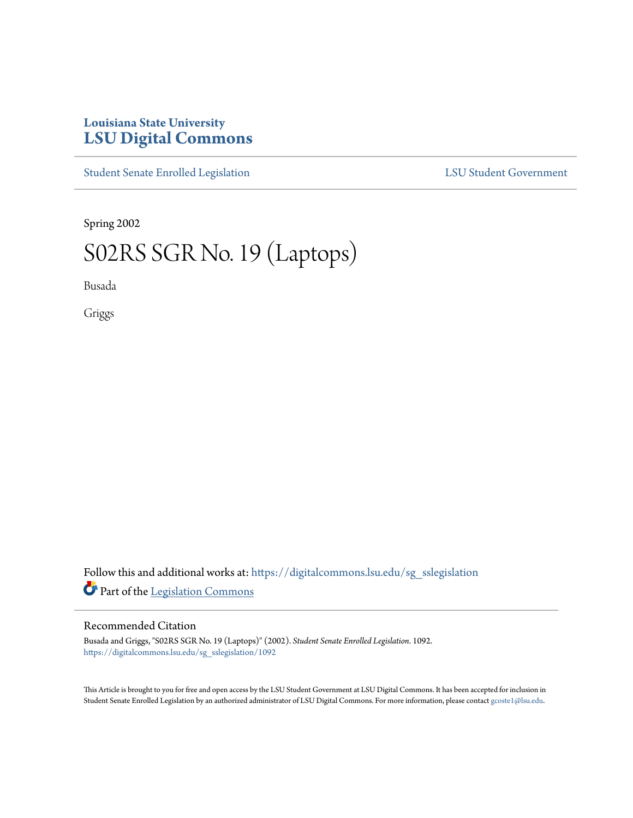# **Louisiana State University [LSU Digital Commons](https://digitalcommons.lsu.edu?utm_source=digitalcommons.lsu.edu%2Fsg_sslegislation%2F1092&utm_medium=PDF&utm_campaign=PDFCoverPages)**

[Student Senate Enrolled Legislation](https://digitalcommons.lsu.edu/sg_sslegislation?utm_source=digitalcommons.lsu.edu%2Fsg_sslegislation%2F1092&utm_medium=PDF&utm_campaign=PDFCoverPages) [LSU Student Government](https://digitalcommons.lsu.edu/sg?utm_source=digitalcommons.lsu.edu%2Fsg_sslegislation%2F1092&utm_medium=PDF&utm_campaign=PDFCoverPages)

Spring 2002

# S02RS SGR No. 19 (Laptops)

Busada

Griggs

Follow this and additional works at: [https://digitalcommons.lsu.edu/sg\\_sslegislation](https://digitalcommons.lsu.edu/sg_sslegislation?utm_source=digitalcommons.lsu.edu%2Fsg_sslegislation%2F1092&utm_medium=PDF&utm_campaign=PDFCoverPages) Part of the [Legislation Commons](http://network.bepress.com/hgg/discipline/859?utm_source=digitalcommons.lsu.edu%2Fsg_sslegislation%2F1092&utm_medium=PDF&utm_campaign=PDFCoverPages)

#### Recommended Citation

Busada and Griggs, "S02RS SGR No. 19 (Laptops)" (2002). *Student Senate Enrolled Legislation*. 1092. [https://digitalcommons.lsu.edu/sg\\_sslegislation/1092](https://digitalcommons.lsu.edu/sg_sslegislation/1092?utm_source=digitalcommons.lsu.edu%2Fsg_sslegislation%2F1092&utm_medium=PDF&utm_campaign=PDFCoverPages)

This Article is brought to you for free and open access by the LSU Student Government at LSU Digital Commons. It has been accepted for inclusion in Student Senate Enrolled Legislation by an authorized administrator of LSU Digital Commons. For more information, please contact [gcoste1@lsu.edu.](mailto:gcoste1@lsu.edu)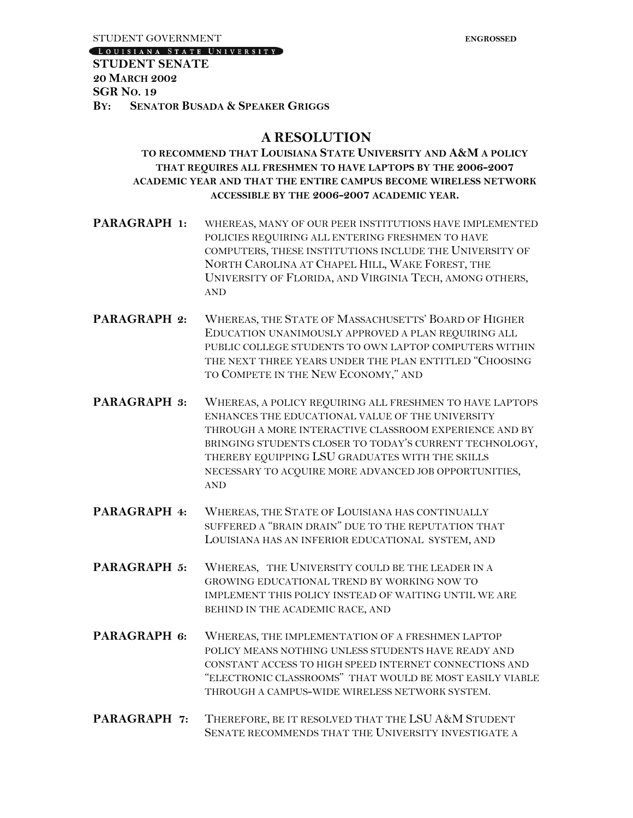LOUISIANA STATE UNIVERSITY

#### **STUDENT SENATE 20 MARCH 2002 SGR NO. 19 BY: SENATOR BUSADA & SPEAKER GRIGGS**

## **A RESOLUTION**

### **TO RECOMMEND THAT LOUISIANA STATE UNIVERSITY AND A&M A POLICY THAT REQUIRES ALL FRESHMEN TO HAVE LAPTOPS BY THE 2006-2007 ACADEMIC YEAR AND THAT THE ENTIRE CAMPUS BECOME WIRELESS NETWORK ACCESSIBLE BY THE 2006-2007 ACADEMIC YEAR.**

- **PARAGRAPH 1:** WHEREAS, MANY OF OUR PEER INSTITUTIONS HAVE IMPLEMENTED POLICIES REQUIRING ALL ENTERING FRESHMEN TO HAVE COMPUTERS, THESE INSTITUTIONS INCLUDE THE UNIVERSITY OF NORTH CAROLINA AT CHAPEL HILL, WAKE FOREST, THE UNIVERSITY OF FLORIDA, AND VIRGINIA TECH, AMONG OTHERS, AND
- **PARAGRAPH 2:** WHEREAS, THE STATE OF MASSACHUSETTS' BOARD OF HIGHER EDUCATION UNANIMOUSLY APPROVED A PLAN REQUIRING ALL PUBLIC COLLEGE STUDENTS TO OWN LAPTOP COMPUTERS WITHIN THE NEXT THREE YEARS UNDER THE PLAN ENTITLED "CHOOSING TO COMPETE IN THE NEW ECONOMY," AND
- **PARAGRAPH 3:** WHEREAS, A POLICY REQUIRING ALL FRESHMEN TO HAVE LAPTOPS ENHANCES THE EDUCATIONAL VALUE OF THE UNIVERSITY THROUGH A MORE INTERACTIVE CLASSROOM EXPERIENCE AND BY BRINGING STUDENTS CLOSER TO TODAY'S CURRENT TECHNOLOGY, THEREBY EQUIPPING LSU GRADUATES WITH THE SKILLS NECESSARY TO ACQUIRE MORE ADVANCED JOB OPPORTUNITIES, AND
- **PARAGRAPH 4:** WHEREAS, THE STATE OF LOUISIANA HAS CONTINUALLY SUFFERED A "BRAIN DRAIN" DUE TO THE REPUTATION THAT LOUISIANA HAS AN INFERIOR EDUCATIONAL SYSTEM, AND
- **PARAGRAPH 5:** WHEREAS, THE UNIVERSITY COULD BE THE LEADER IN A GROWING EDUCATIONAL TREND BY WORKING NOW TO IMPLEMENT THIS POLICY INSTEAD OF WAITING UNTIL WE ARE BEHIND IN THE ACADEMIC RACE, AND
- **PARAGRAPH 6:** WHEREAS, THE IMPLEMENTATION OF A FRESHMEN LAPTOP POLICY MEANS NOTHING UNLESS STUDENTS HAVE READY AND CONSTANT ACCESS TO HIGH SPEED INTERNET CONNECTIONS AND "ELECTRONIC CLASSROOMS" THAT WOULD BE MOST EASILY VIABLE THROUGH A CAMPUS-WIDE WIRELESS NETWORK SYSTEM.
- **PARAGRAPH 7:** THEREFORE, BE IT RESOLVED THAT THE LSU A&M STUDENT SENATE RECOMMENDS THAT THE UNIVERSITY INVESTIGATE A